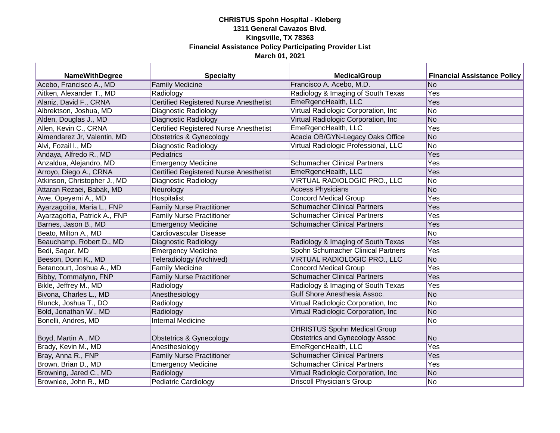| <b>NameWithDegree</b>         | <b>Specialty</b>                              | <b>MedicalGroup</b>                    | <b>Financial Assistance Policy</b> |
|-------------------------------|-----------------------------------------------|----------------------------------------|------------------------------------|
| Acebo, Francisco A., MD       | <b>Family Medicine</b>                        | Francisco A. Acebo, M.D.               | No                                 |
| Aitken, Alexander T., MD      | Radiology                                     | Radiology & Imaging of South Texas     | Yes                                |
| Alaniz, David F., CRNA        | <b>Certified Registered Nurse Anesthetist</b> | EmeRgencHealth, LLC                    | Yes                                |
| Albrektson, Joshua, MD        | Diagnostic Radiology                          | Virtual Radiologic Corporation, Inc    | No                                 |
| Alden, Douglas J., MD         | Diagnostic Radiology                          | Virtual Radiologic Corporation, Inc    | No                                 |
| Allen, Kevin C., CRNA         | <b>Certified Registered Nurse Anesthetist</b> | EmeRgencHealth, LLC                    | Yes                                |
| Almendarez Jr, Valentin, MD   | <b>Obstetrics &amp; Gynecology</b>            | Acacia OB/GYN-Legacy Oaks Office       | No                                 |
| Alvi, Fozail I., MD           | Diagnostic Radiology                          | Virtual Radiologic Professional, LLC   | <b>No</b>                          |
| Andaya, Alfredo R., MD        | Pediatrics                                    |                                        | Yes                                |
| Anzaldua, Alejandro, MD       | <b>Emergency Medicine</b>                     | <b>Schumacher Clinical Partners</b>    | Yes                                |
| Arroyo, Diego A., CRNA        | <b>Certified Registered Nurse Anesthetist</b> | EmeRgencHealth, LLC                    | Yes                                |
| Atkinson, Christopher J., MD  | Diagnostic Radiology                          | VIRTUAL RADIOLOGIC PRO., LLC           | No                                 |
| Attaran Rezaei, Babak, MD     | Neurology                                     | <b>Access Physicians</b>               | No                                 |
| Awe, Opeyemi A., MD           | <b>Hospitalist</b>                            | <b>Concord Medical Group</b>           | Yes                                |
| Ayarzagoitia, Maria L., FNP   | <b>Family Nurse Practitioner</b>              | <b>Schumacher Clinical Partners</b>    | Yes                                |
| Ayarzagoitia, Patrick A., FNP | <b>Family Nurse Practitioner</b>              | <b>Schumacher Clinical Partners</b>    | Yes                                |
| Barnes, Jason B., MD          | <b>Emergency Medicine</b>                     | <b>Schumacher Clinical Partners</b>    | Yes                                |
| Beato, Milton A., MD          | Cardiovascular Disease                        |                                        | No                                 |
| Beauchamp, Robert D., MD      | Diagnostic Radiology                          | Radiology & Imaging of South Texas     | Yes                                |
| Bedi, Sagar, MD               | <b>Emergency Medicine</b>                     | Spohn Schumacher Clinical Partners     | Yes                                |
| Beeson, Donn K., MD           | Teleradiology (Archived)                      | VIRTUAL RADIOLOGIC PRO., LLC           | No                                 |
| Betancourt, Joshua A., MD     | <b>Family Medicine</b>                        | <b>Concord Medical Group</b>           | Yes                                |
| Bibby, Tommalynn, FNP         | <b>Family Nurse Practitioner</b>              | <b>Schumacher Clinical Partners</b>    | Yes                                |
| Bikle, Jeffrey M., MD         | Radiology                                     | Radiology & Imaging of South Texas     | Yes                                |
| Bivona, Charles L., MD        | Anesthesiology                                | Gulf Shore Anesthesia Assoc.           | No                                 |
| Blunck, Joshua T., DO         | Radiology                                     | Virtual Radiologic Corporation, Inc    | No                                 |
| Bold, Jonathan W., MD         | Radiology                                     | Virtual Radiologic Corporation, Inc    | No                                 |
| Bonelli, Andres, MD           | <b>Internal Medicine</b>                      |                                        | No                                 |
|                               |                                               | <b>CHRISTUS Spohn Medical Group</b>    |                                    |
| Boyd, Martin A., MD           | Obstetrics & Gynecology                       | <b>Obstetrics and Gynecology Assoc</b> | No                                 |
| Brady, Kevin M., MD           | Anesthesiology                                | EmeRgencHealth, LLC                    | Yes                                |
| Bray, Anna R., FNP            | <b>Family Nurse Practitioner</b>              | <b>Schumacher Clinical Partners</b>    | Yes                                |
| Brown, Brian D., MD           | <b>Emergency Medicine</b>                     | <b>Schumacher Clinical Partners</b>    | Yes                                |
| Browning, Jared C., MD        | Radiology                                     | Virtual Radiologic Corporation, Inc    | No                                 |
| Brownlee, John R., MD         | <b>Pediatric Cardiology</b>                   | <b>Driscoll Physician's Group</b>      | No                                 |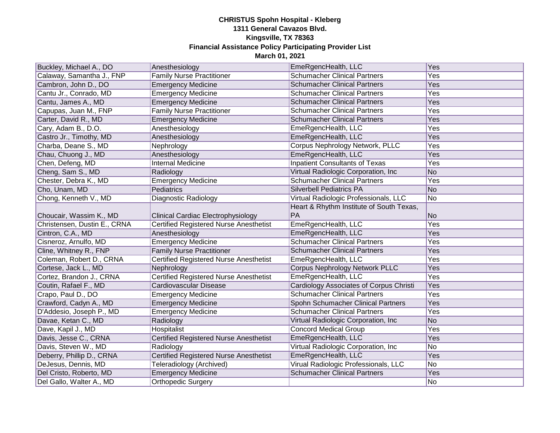| Buckley, Michael A., DO      | Anesthesiology                                | EmeRgencHealth, LLC                      | Yes |
|------------------------------|-----------------------------------------------|------------------------------------------|-----|
| Calaway, Samantha J., FNP    | <b>Family Nurse Practitioner</b>              | <b>Schumacher Clinical Partners</b>      | Yes |
| Cambron, John D., DO         | <b>Emergency Medicine</b>                     | <b>Schumacher Clinical Partners</b>      | Yes |
| Cantu Jr., Conrado, MD       | <b>Emergency Medicine</b>                     | <b>Schumacher Clinical Partners</b>      | Yes |
| Cantu, James A., MD          | <b>Emergency Medicine</b>                     | <b>Schumacher Clinical Partners</b>      | Yes |
| Capupas, Juan M., FNP        | <b>Family Nurse Practitioner</b>              | <b>Schumacher Clinical Partners</b>      | Yes |
| Carter, David R., MD         | <b>Emergency Medicine</b>                     | <b>Schumacher Clinical Partners</b>      | Yes |
| Cary, Adam B., D.O.          | Anesthesiology                                | EmeRgencHealth, LLC                      | Yes |
| Castro Jr., Timothy, MD      | Anesthesiology                                | EmeRgencHealth, LLC                      | Yes |
| Charba, Deane S., MD         | Nephrology                                    | Corpus Nephrology Network, PLLC          | Yes |
| Chau, Chuong J., MD          | Anesthesiology                                | EmeRgencHealth, LLC                      | Yes |
| Chen, Defeng, MD             | <b>Internal Medicine</b>                      | <b>Inpatient Consultants of Texas</b>    | Yes |
| Cheng, Sam S., MD            | Radiology                                     | Virtual Radiologic Corporation, Inc      | No  |
| Chester, Debra K., MD        | <b>Emergency Medicine</b>                     | <b>Schumacher Clinical Partners</b>      | Yes |
| Cho, Unam, MD                | Pediatrics                                    | <b>Silverbell Pediatrics PA</b>          | No  |
| Chong, Kenneth V., MD        | Diagnostic Radiology                          | Virtual Radiologic Professionals, LLC    | No  |
|                              |                                               | Heart & Rhythm Institute of South Texas, |     |
| Choucair, Wassim K., MD      | <b>Clinical Cardiac Electrophysiology</b>     | <b>PA</b>                                | No  |
| Christensen, Dustin E., CRNA | Certified Registered Nurse Anesthetist        | EmeRgencHealth, LLC                      | Yes |
| Cintron, C.A., MD            | Anesthesiology                                | EmeRgencHealth, LLC                      | Yes |
| Cisneroz, Arnulfo, MD        | <b>Emergency Medicine</b>                     | <b>Schumacher Clinical Partners</b>      | Yes |
| Cline, Whitney R., FNP       | <b>Family Nurse Practitioner</b>              | <b>Schumacher Clinical Partners</b>      | Yes |
| Coleman, Robert D., CRNA     | Certified Registered Nurse Anesthetist        | EmeRgencHealth, LLC                      | Yes |
| Cortese, Jack L., MD         | Nephrology                                    | <b>Corpus Nephrology Network PLLC</b>    | Yes |
| Cortez, Brandon J., CRNA     | Certified Registered Nurse Anesthetist        | EmeRgencHealth, LLC                      | Yes |
| Coutin, Rafael F., MD        | Cardiovascular Disease                        | Cardiology Associates of Corpus Christi  | Yes |
| Crapo, Paul D., DO           | <b>Emergency Medicine</b>                     | <b>Schumacher Clinical Partners</b>      | Yes |
| Crawford, Cadyn A., MD       | <b>Emergency Medicine</b>                     | Spohn Schumacher Clinical Partners       | Yes |
| D'Addesio, Joseph P., MD     | <b>Emergency Medicine</b>                     | <b>Schumacher Clinical Partners</b>      | Yes |
| Davae, Ketan C., MD          | Radiology                                     | Virtual Radiologic Corporation, Inc      | No  |
| Dave, Kapil J., MD           | Hospitalist                                   | <b>Concord Medical Group</b>             | Yes |
| Davis, Jesse C., CRNA        | <b>Certified Registered Nurse Anesthetist</b> | EmeRgencHealth, LLC                      | Yes |
| Davis, Steven W., MD         | Radiology                                     | Virtual Radiologic Corporation, Inc      | No  |
| Deberry, Phillip D., CRNA    | <b>Certified Registered Nurse Anesthetist</b> | EmeRgencHealth, LLC                      | Yes |
| DeJesus, Dennis, MD          | Teleradiology (Archived)                      | Virual Radiologic Professionals, LLC     | No  |
| Del Cristo, Roberto, MD      | <b>Emergency Medicine</b>                     | <b>Schumacher Clinical Partners</b>      | Yes |
| Del Gallo, Walter A., MD     | <b>Orthopedic Surgery</b>                     |                                          | No  |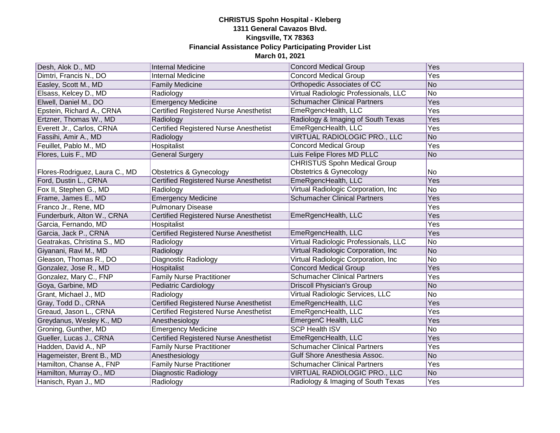| Desh, Alok D., MD              | Internal Medicine                             | <b>Concord Medical Group</b>          | Yes             |
|--------------------------------|-----------------------------------------------|---------------------------------------|-----------------|
| Dimtri, Francis N., DO         | <b>Internal Medicine</b>                      | <b>Concord Medical Group</b>          | Yes             |
| Easley, Scott M., MD           | <b>Family Medicine</b>                        | Orthopedic Associates of CC           | No              |
| Elsass, Kelcey D., MD          | Radiology                                     | Virtual Radiologic Professionals, LLC | $\overline{No}$ |
| Elwell, Daniel M., DO          | <b>Emergency Medicine</b>                     | <b>Schumacher Clinical Partners</b>   | Yes             |
| Epstein, Richard A., CRNA      | <b>Certified Registered Nurse Anesthetist</b> | EmeRgencHealth, LLC                   | Yes             |
| Ertzner, Thomas W., MD         | Radiology                                     | Radiology & Imaging of South Texas    | Yes             |
| Everett Jr., Carlos, CRNA      | <b>Certified Registered Nurse Anesthetist</b> | EmeRgencHealth, LLC                   | Yes             |
| Fassihi, Amir A., MD           | Radiology                                     | VIRTUAL RADIOLOGIC PRO., LLC          | <b>No</b>       |
| Feuillet, Pablo M., MD         | Hospitalist                                   | <b>Concord Medical Group</b>          | Yes             |
| Flores, Luis F., MD            | <b>General Surgery</b>                        | Luis Felipe Flores MD PLLC            | No              |
|                                |                                               | <b>CHRISTUS Spohn Medical Group</b>   |                 |
| Flores-Rodriguez, Laura C., MD | Obstetrics & Gynecology                       | Obstetrics & Gynecology               | No              |
| Ford, Dustin L., CRNA          | Certified Registered Nurse Anesthetist        | EmeRgencHealth, LLC                   | Yes             |
| Fox II, Stephen G., MD         | Radiology                                     | Virtual Radiologic Corporation, Inc.  | No              |
| Frame, James E., MD            | <b>Emergency Medicine</b>                     | <b>Schumacher Clinical Partners</b>   | Yes             |
| Franco Jr., Rene, MD           | <b>Pulmonary Disease</b>                      |                                       | Yes             |
| Funderburk, Alton W., CRNA     | Certified Registered Nurse Anesthetist        | EmeRgencHealth, LLC                   | Yes             |
| Garcia, Fernando, MD           | Hospitalist                                   |                                       | Yes             |
| Garcia, Jack P., CRNA          | <b>Certified Registered Nurse Anesthetist</b> | EmeRgencHealth, LLC                   | Yes             |
| Geatrakas, Christina S., MD    | Radiology                                     | Virtual Radiologic Professionals, LLC | No              |
| Giyanani, Ravi M., MD          | Radiology                                     | Virtual Radiologic Corporation, Inc.  | No              |
| Gleason, Thomas R., DO         | Diagnostic Radiology                          | Virtual Radiologic Corporation, Inc   | No              |
| Gonzalez, Jose R., MD          | Hospitalist                                   | <b>Concord Medical Group</b>          | Yes             |
| Gonzalez, Mary C., FNP         | <b>Family Nurse Practitioner</b>              | <b>Schumacher Clinical Partners</b>   | Yes             |
| Goya, Garbine, MD              | <b>Pediatric Cardiology</b>                   | <b>Driscoll Physician's Group</b>     | No              |
| Grant, Michael J., MD          | Radiology                                     | Virtual Radiologic Services, LLC      | No              |
| Gray, Todd D., CRNA            | <b>Certified Registered Nurse Anesthetist</b> | EmeRgencHealth, LLC                   | Yes             |
| Greaud, Jason L., CRNA         | Certified Registered Nurse Anesthetist        | EmeRgencHealth, LLC                   | Yes             |
| Greydanus, Wesley K., MD       | Anesthesiology                                | EmergenC Health, LLC                  | Yes             |
| Groning, Gunther, MD           | <b>Emergency Medicine</b>                     | <b>SCP Health ISV</b>                 | No              |
| Gueller, Lucas J., CRNA        | Certified Registered Nurse Anesthetist        | EmeRgencHealth, LLC                   | Yes             |
| Hadden, David A., NP           | <b>Family Nurse Practitioner</b>              | <b>Schumacher Clinical Partners</b>   | Yes             |
| Hagemeister, Brent B., MD      | Anesthesiology                                | Gulf Shore Anesthesia Assoc.          | <b>No</b>       |
| Hamilton, Chanse A., FNP       | <b>Family Nurse Practitioner</b>              | <b>Schumacher Clinical Partners</b>   | Yes             |
| Hamilton, Murray O., MD        | Diagnostic Radiology                          | VIRTUAL RADIOLOGIC PRO., LLC          | <b>No</b>       |
| Hanisch, Ryan J., MD           | Radiology                                     | Radiology & Imaging of South Texas    | Yes             |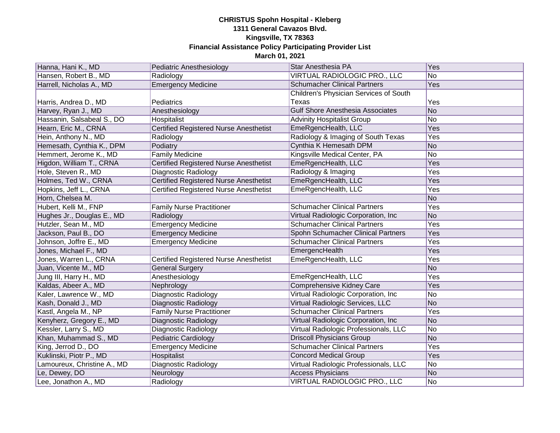| Hanna, Hani K., MD          | Pediatric Anesthesiology                      | Star Anesthesia PA                      | <b>Yes</b> |
|-----------------------------|-----------------------------------------------|-----------------------------------------|------------|
| Hansen, Robert B., MD       | Radiology                                     | VIRTUAL RADIOLOGIC PRO., LLC            | No         |
| Harrell, Nicholas A., MD    | <b>Emergency Medicine</b>                     | <b>Schumacher Clinical Partners</b>     | <b>Yes</b> |
|                             |                                               | Children's Physician Services of South  |            |
| Harris, Andrea D., MD       | Pediatrics                                    | Texas                                   | Yes        |
| Harvey, Ryan J., MD         | Anesthesiology                                | <b>Gulf Shore Anesthesia Associates</b> | <b>No</b>  |
| Hassanin, Salsabeal S., DO  | Hospitalist                                   | <b>Advinity Hospitalist Group</b>       | No         |
| Hearn, Eric M., CRNA        | <b>Certified Registered Nurse Anesthetist</b> | EmeRgencHealth, LLC                     | Yes        |
| Hein, Anthony N., MD        | Radiology                                     | Radiology & Imaging of South Texas      | Yes        |
| Hemesath, Cynthia K., DPM   | Podiatry                                      | Cynthia K Hemesath DPM                  | <b>No</b>  |
| Hemmert, Jerome K., MD      | <b>Family Medicine</b>                        | Kingsville Medical Center, PA           | No         |
| Higdon, William T., CRNA    | <b>Certified Registered Nurse Anesthetist</b> | EmeRgencHealth, LLC                     | Yes        |
| Hole, Steven R., MD         | Diagnostic Radiology                          | Radiology & Imaging                     | Yes        |
| Holmes, Ted W., CRNA        | <b>Certified Registered Nurse Anesthetist</b> | EmeRgencHealth, LLC                     | Yes        |
| Hopkins, Jeff L., CRNA      | <b>Certified Registered Nurse Anesthetist</b> | EmeRgencHealth, LLC                     | Yes        |
| Horn, Chelsea M.            |                                               |                                         | No         |
| Hubert, Kelli M., FNP       | <b>Family Nurse Practitioner</b>              | <b>Schumacher Clinical Partners</b>     | Yes        |
| Hughes Jr., Douglas E., MD  | Radiology                                     | Virtual Radiologic Corporation, Inc     | <b>No</b>  |
| Hutzler, Sean M., MD        | <b>Emergency Medicine</b>                     | <b>Schumacher Clinical Partners</b>     | Yes        |
| Jackson, Paul B., DO        | <b>Emergency Medicine</b>                     | Spohn Schumacher Clinical Partners      | Yes        |
| Johnson, Joffre E., MD      | <b>Emergency Medicine</b>                     | <b>Schumacher Clinical Partners</b>     | Yes        |
| Jones, Michael F., MD       |                                               | EmergencHealth                          | Yes        |
| Jones, Warren L., CRNA      | <b>Certified Registered Nurse Anesthetist</b> | EmeRgencHealth, LLC                     | Yes        |
| Juan, Vicente M., MD        | <b>General Surgery</b>                        |                                         | <b>No</b>  |
| Jung III, Harry H., MD      | Anesthesiology                                | EmeRgencHealth, LLC                     | Yes        |
| Kaldas, Abeer A., MD        | Nephrology                                    | Comprehensive Kidney Care               | Yes        |
| Kaler, Lawrence W., MD      | Diagnostic Radiology                          | Virtual Radiologic Corporation, Inc.    | No         |
| Kash, Donald J., MD         | Diagnostic Radiology                          | Virtual Radiologic Services, LLC        | <b>No</b>  |
| Kastl, Angela M., NP        | <b>Family Nurse Practitioner</b>              | <b>Schumacher Clinical Partners</b>     | Yes        |
| Kenyherz, Gregory E., MD    | Diagnostic Radiology                          | Virtual Radiologic Corporation, Inc     | <b>No</b>  |
| Kessler, Larry S., MD       | Diagnostic Radiology                          | Virtual Radiologic Professionals, LLC   | No         |
| Khan, Muhammad S., MD       | <b>Pediatric Cardiology</b>                   | <b>Driscoll Physicians Group</b>        | <b>No</b>  |
| King, Jerrod D., DO         | <b>Emergency Medicine</b>                     | <b>Schumacher Clinical Partners</b>     | Yes        |
| Kuklinski, Piotr P., MD     | <b>Hospitalist</b>                            | <b>Concord Medical Group</b>            | Yes        |
| Lamoureux, Christine A., MD | Diagnostic Radiology                          | Virtual Radiologic Professionals, LLC   | No         |
| Le, Dewey, DO               | Neurology                                     | <b>Access Physicians</b>                | No         |
| Lee, Jonathon A., MD        | Radiology                                     | VIRTUAL RADIOLOGIC PRO., LLC            | No.        |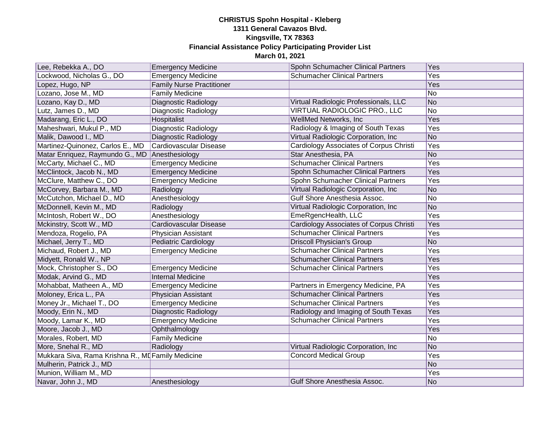| Lee, Rebekka A., DO                               | <b>Emergency Medicine</b>        | Spohn Schumacher Clinical Partners      | Yes            |
|---------------------------------------------------|----------------------------------|-----------------------------------------|----------------|
| Lockwood, Nicholas G., DO                         | <b>Emergency Medicine</b>        | <b>Schumacher Clinical Partners</b>     | Yes            |
| Lopez, Hugo, NP                                   | <b>Family Nurse Practitioner</b> |                                         | Yes            |
| Lozano, Jose M., MD                               | <b>Family Medicine</b>           |                                         | No             |
| Lozano, Kay D., MD                                | Diagnostic Radiology             | Virtual Radiologic Professionals, LLC   | No             |
| Lutz, James D., MD                                | Diagnostic Radiology             | VIRTUAL RADIOLOGIC PRO., LLC            | N <sub>o</sub> |
| Madarang, Eric L., DO                             | Hospitalist                      | WellMed Networks, Inc                   | Yes            |
| Maheshwari, Mukul P., MD                          | Diagnostic Radiology             | Radiology & Imaging of South Texas      | Yes            |
| Malik, Dawood I., MD                              | Diagnostic Radiology             | Virtual Radiologic Corporation, Inc.    | N <sub>o</sub> |
| Martinez-Quinonez, Carlos E., MD                  | Cardiovascular Disease           | Cardiology Associates of Corpus Christi | Yes            |
| Matar Enriquez, Raymundo G., MD                   | Anesthesiology                   | Star Anesthesia, PA                     | No             |
| McCarty, Michael C., MD                           | <b>Emergency Medicine</b>        | <b>Schumacher Clinical Partners</b>     | Yes            |
| McClintock, Jacob N., MD                          | <b>Emergency Medicine</b>        | Spohn Schumacher Clinical Partners      | Yes            |
| McClure, Matthew C., DO                           | <b>Emergency Medicine</b>        | Spohn Schumacher Clinical Partners      | Yes            |
| McCorvey, Barbara M., MD                          | Radiology                        | Virtual Radiologic Corporation, Inc.    | No             |
| McCutchon, Michael D., MD                         | Anesthesiology                   | Gulf Shore Anesthesia Assoc.            | No             |
| McDonnell, Kevin M., MD                           | Radiology                        | Virtual Radiologic Corporation, Inc     | No             |
| McIntosh, Robert W., DO                           | Anesthesiology                   | EmeRgencHealth, LLC                     | Yes            |
| Mckinstry, Scott W., MD                           | Cardiovascular Disease           | Cardiology Associates of Corpus Christi | Yes            |
| Mendoza, Rogelio, PA                              | Physician Assistant              | <b>Schumacher Clinical Partners</b>     | Yes            |
| Michael, Jerry T., MD                             | <b>Pediatric Cardiology</b>      | <b>Driscoll Physician's Group</b>       | N <sub>o</sub> |
| Michaud, Robert J., MD                            | <b>Emergency Medicine</b>        | <b>Schumacher Clinical Partners</b>     | Yes            |
| Midyett, Ronald W., NP                            |                                  | <b>Schumacher Clinical Partners</b>     | Yes            |
| Mock, Christopher S., DO                          | <b>Emergency Medicine</b>        | <b>Schumacher Clinical Partners</b>     | Yes            |
| Modak, Arvind G., MD                              | <b>Internal Medicine</b>         |                                         | Yes            |
| Mohabbat, Matheen A., MD                          | <b>Emergency Medicine</b>        | Partners in Emergency Medicine, PA      | Yes            |
| Moloney, Erica L., PA                             | Physician Assistant              | <b>Schumacher Clinical Partners</b>     | Yes            |
| Money Jr., Michael T., DO                         | <b>Emergency Medicine</b>        | <b>Schumacher Clinical Partners</b>     | Yes            |
| Moody, Erin N., MD                                | Diagnostic Radiology             | Radiology and Imaging of South Texas    | Yes            |
| Moody, Lamar K., MD                               | <b>Emergency Medicine</b>        | <b>Schumacher Clinical Partners</b>     | Yes            |
| Moore, Jacob J., MD                               | Ophthalmology                    |                                         | Yes            |
| Morales, Robert, MD                               | <b>Family Medicine</b>           |                                         | N <sub>o</sub> |
| More, Snehal R., MD                               | Radiology                        | Virtual Radiologic Corporation, Inc.    | No             |
| Mukkara Siva, Rama Krishna R., MI Family Medicine |                                  | <b>Concord Medical Group</b>            | Yes            |
| Mulherin, Patrick J., MD                          |                                  |                                         | No             |
| Munion, William M., MD                            |                                  |                                         | Yes            |
| Navar, John J., MD                                | Anesthesiology                   | Gulf Shore Anesthesia Assoc.            | No             |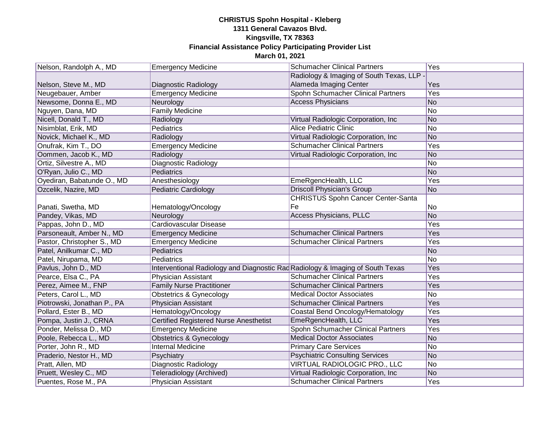| Nelson, Randolph A., MD     | <b>Emergency Medicine</b>                                                      | <b>Schumacher Clinical Partners</b>       | Yes        |
|-----------------------------|--------------------------------------------------------------------------------|-------------------------------------------|------------|
|                             |                                                                                | Radiology & Imaging of South Texas, LLP - |            |
| Nelson, Steve M., MD        | Diagnostic Radiology                                                           | Alameda Imaging Center                    | Yes        |
| Neugebauer, Amber           | <b>Emergency Medicine</b>                                                      | Spohn Schumacher Clinical Partners        | <b>Yes</b> |
| Newsome, Donna E., MD       | Neurology                                                                      | <b>Access Physicians</b>                  | No         |
| Nguyen, Dana, MD            | <b>Family Medicine</b>                                                         |                                           | No         |
| Nicell, Donald T., MD       | Radiology                                                                      | Virtual Radiologic Corporation, Inc       | No         |
| Nisimblat, Erik, MD         | Pediatrics                                                                     | <b>Alice Pediatric Clinic</b>             | No         |
| Novick, Michael K., MD      | Radiology                                                                      | Virtual Radiologic Corporation, Inc       | No         |
| Onufrak, Kim T., DO         | <b>Emergency Medicine</b>                                                      | <b>Schumacher Clinical Partners</b>       | Yes        |
| Oommen, Jacob K., MD        | Radiology                                                                      | Virtual Radiologic Corporation, Inc       | No         |
| Ortiz, Silvestre A., MD     | Diagnostic Radiology                                                           |                                           | No         |
| O'Ryan, Julio C., MD        | Pediatrics                                                                     |                                           | No         |
| Oyediran, Babatunde O., MD  | Anesthesiology                                                                 | EmeRgencHealth, LLC                       | Yes        |
| Ozcelik, Nazire, MD         | Pediatric Cardiology                                                           | <b>Driscoll Physician's Group</b>         | No         |
|                             |                                                                                | <b>CHRISTUS Spohn Cancer Center-Santa</b> |            |
| Panati, Swetha, MD          | Hematology/Oncology                                                            | Fe                                        | No         |
| Pandey, Vikas, MD           | Neurology                                                                      | Access Physicians, PLLC                   | No         |
| Pappas, John D., MD         | Cardiovascular Disease                                                         |                                           | Yes        |
| Parsoneault, Amber N., MD   | <b>Emergency Medicine</b>                                                      | <b>Schumacher Clinical Partners</b>       | Yes        |
| Pastor, Christopher S., MD  | <b>Emergency Medicine</b>                                                      | <b>Schumacher Clinical Partners</b>       | Yes        |
| Patel, Anilkumar C., MD     | Pediatrics                                                                     |                                           | No         |
| Patel, Nirupama, MD         | Pediatrics                                                                     |                                           | No         |
| Pavlus, John D., MD         | Interventional Radiology and Diagnostic Rad Radiology & Imaging of South Texas |                                           | Yes        |
| Pearce, Elsa C., PA         | Physician Assistant                                                            | <b>Schumacher Clinical Partners</b>       | Yes        |
| Perez, Aimee M., FNP        | <b>Family Nurse Practitioner</b>                                               | <b>Schumacher Clinical Partners</b>       | Yes        |
| Peters, Carol L., MD        | <b>Obstetrics &amp; Gynecology</b>                                             | <b>Medical Doctor Associates</b>          | No         |
| Piotrowski, Jonathan P., PA | Physician Assistant                                                            | <b>Schumacher Clinical Partners</b>       | Yes        |
| Pollard, Ester B., MD       | Hematology/Oncology                                                            | Coastal Bend Oncology/Hematology          | <b>Yes</b> |
| Pompa, Justin J., CRNA      | <b>Certified Registered Nurse Anesthetist</b>                                  | EmeRgencHealth, LLC                       | Yes        |
| Ponder, Melissa D., MD      | <b>Emergency Medicine</b>                                                      | Spohn Schumacher Clinical Partners        | Yes        |
| Poole, Rebecca L., MD       | <b>Obstetrics &amp; Gynecology</b>                                             | <b>Medical Doctor Associates</b>          | No         |
| Porter, John R., MD         | <b>Internal Medicine</b>                                                       | <b>Primary Care Services</b>              | No         |
| Praderio, Nestor H., MD     | Psychiatry                                                                     | <b>Psychiatric Consulting Services</b>    | No         |
| Pratt, Allen, MD            | <b>Diagnostic Radiology</b>                                                    | <b>VIRTUAL RADIOLOGIC PRO., LLC</b>       | No         |
| Pruett, Wesley C., MD       | Teleradiology (Archived)                                                       | Virtual Radiologic Corporation, Inc       | No         |
| Puentes, Rose M., PA        | Physician Assistant                                                            | <b>Schumacher Clinical Partners</b>       | Yes        |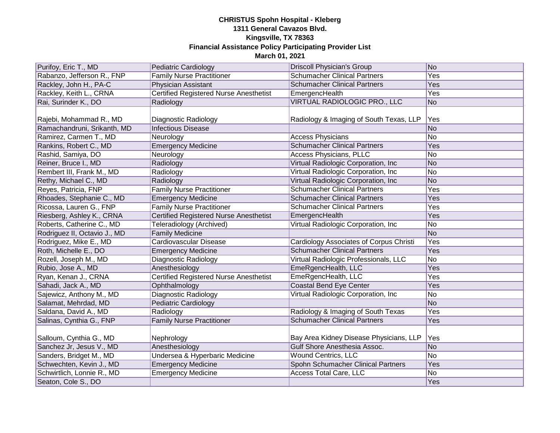| Purifoy, Eric T., MD         | <b>Pediatric Cardiology</b>                   | <b>Driscoll Physician's Group</b>       | No         |
|------------------------------|-----------------------------------------------|-----------------------------------------|------------|
| Rabanzo, Jefferson R., FNP   | <b>Family Nurse Practitioner</b>              | <b>Schumacher Clinical Partners</b>     | <b>Yes</b> |
| Rackley, John H., PA-C       | <b>Physician Assistant</b>                    | <b>Schumacher Clinical Partners</b>     | <b>Yes</b> |
| Rackley, Keith L., CRNA      | <b>Certified Registered Nurse Anesthetist</b> | EmergencHealth                          | <b>Yes</b> |
| Rai, Surinder K., DO         | Radiology                                     | VIRTUAL RADIOLOGIC PRO., LLC            | <b>No</b>  |
|                              |                                               |                                         |            |
| Rajebi, Mohammad R., MD      | Diagnostic Radiology                          | Radiology & Imaging of South Texas, LLP | Yes        |
| Ramachandruni, Srikanth, MD  | <b>Infectious Disease</b>                     |                                         | No         |
| Ramirez, Carmen T., MD       | Neurology                                     | <b>Access Physicians</b>                | No         |
| Rankins, Robert C., MD       | <b>Emergency Medicine</b>                     | <b>Schumacher Clinical Partners</b>     | Yes        |
| Rashid, Samiya, DO           | Neurology                                     | <b>Access Physicians, PLLC</b>          | No         |
| Reiner, Bruce I., MD         | Radiology                                     | Virtual Radiologic Corporation, Inc.    | No         |
| Rembert III, Frank M., MD    | Radiology                                     | Virtual Radiologic Corporation, Inc     | No         |
| Rethy, Michael C., MD        | Radiology                                     | Virtual Radiologic Corporation, Inc     | No         |
| Reyes, Patricia, FNP         | <b>Family Nurse Practitioner</b>              | <b>Schumacher Clinical Partners</b>     | Yes        |
| Rhoades, Stephanie C., MD    | <b>Emergency Medicine</b>                     | <b>Schumacher Clinical Partners</b>     | Yes        |
| Ricossa, Lauren G., FNP      | <b>Family Nurse Practitioner</b>              | <b>Schumacher Clinical Partners</b>     | Yes        |
| Riesberg, Ashley K., CRNA    | <b>Certified Registered Nurse Anesthetist</b> | EmergencHealth                          | Yes        |
| Roberts, Catherine C., MD    | Teleradiology (Archived)                      | Virtual Radiologic Corporation, Inc.    | No         |
| Rodriguez II, Octavio J., MD | <b>Family Medicine</b>                        |                                         | No         |
| Rodriguez, Mike E., MD       | <b>Cardiovascular Disease</b>                 | Cardiology Associates of Corpus Christi | Yes        |
| Roth, Michelle E., DO        | <b>Emergency Medicine</b>                     | <b>Schumacher Clinical Partners</b>     | Yes        |
| Rozell, Joseph M., MD        | Diagnostic Radiology                          | Virtual Radiologic Professionals, LLC   | <b>No</b>  |
| Rubio, Jose A., MD           | Anesthesiology                                | EmeRgencHealth, LLC                     | Yes        |
| Ryan, Kenan J., CRNA         | <b>Certified Registered Nurse Anesthetist</b> | EmeRgencHealth, LLC                     | Yes        |
| Sahadi, Jack A., MD          | Ophthalmology                                 | <b>Coastal Bend Eye Center</b>          | Yes        |
| Sajewicz, Anthony M., MD     | Diagnostic Radiology                          | Virtual Radiologic Corporation, Inc     | No         |
| Salamat, Mehrdad, MD         | <b>Pediatric Cardiology</b>                   |                                         | No         |
| Saldana, David A., MD        | Radiology                                     | Radiology & Imaging of South Texas      | Yes        |
| Salinas, Cynthia G., FNP     | <b>Family Nurse Practitioner</b>              | <b>Schumacher Clinical Partners</b>     | Yes        |
|                              |                                               |                                         |            |
| Salloum, Cynthia G., MD      | Nephrology                                    | Bay Area Kidney Disease Physicians, LLP | Yes        |
| Sanchez Jr, Jesus V., MD     | Anesthesiology                                | Gulf Shore Anesthesia Assoc.            | No         |
| Sanders, Bridget M., MD      | Undersea & Hyperbaric Medicine                | <b>Wound Centrics, LLC</b>              | No         |
| Schwechten, Kevin J., MD     | <b>Emergency Medicine</b>                     | Spohn Schumacher Clinical Partners      | Yes        |
| Schwirtlich, Lonnie R., MD   | <b>Emergency Medicine</b>                     | Access Total Care, LLC                  | No         |
| Seaton, Cole S., DO          |                                               |                                         | Yes        |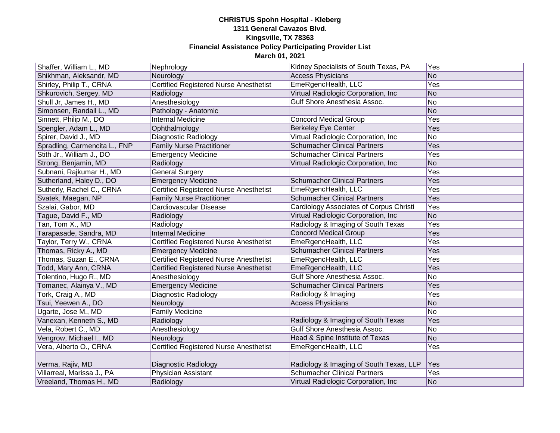| Shaffer, William L., MD       | Nephrology                                    | Kidney Specialists of South Texas, PA   | Yes            |
|-------------------------------|-----------------------------------------------|-----------------------------------------|----------------|
| Shikhman, Aleksandr, MD       | Neurology                                     | <b>Access Physicians</b>                | No             |
| Shirley, Philip T., CRNA      | <b>Certified Registered Nurse Anesthetist</b> | EmeRgencHealth, LLC                     | Yes            |
| Shkurovich, Sergey, MD        | Radiology                                     | Virtual Radiologic Corporation, Inc.    | No             |
| Shull Jr, James H., MD        | Anesthesiology                                | Gulf Shore Anesthesia Assoc.            | No             |
| Simonsen, Randall L., MD      | Pathology - Anatomic                          |                                         | No             |
| Sinnett, Philip M., DO        | Internal Medicine                             | <b>Concord Medical Group</b>            | Yes            |
| Spengler, Adam L., MD         | Ophthalmology                                 | <b>Berkeley Eye Center</b>              | Yes            |
| Spirer, David J., MD          | Diagnostic Radiology                          | Virtual Radiologic Corporation, Inc     | No             |
| Spradling, Carmencita L., FNP | <b>Family Nurse Practitioner</b>              | <b>Schumacher Clinical Partners</b>     | Yes            |
| Stith Jr., William J., DO     | <b>Emergency Medicine</b>                     | <b>Schumacher Clinical Partners</b>     | Yes            |
| Strong, Benjamin, MD          | Radiology                                     | Virtual Radiologic Corporation, Inc     | No             |
| Subnani, Rajkumar H., MD      | <b>General Surgery</b>                        |                                         | Yes            |
| Sutherland, Haley D., DO      | <b>Emergency Medicine</b>                     | <b>Schumacher Clinical Partners</b>     | Yes            |
| Sutherly, Rachel C., CRNA     | <b>Certified Registered Nurse Anesthetist</b> | EmeRgencHealth, LLC                     | Yes            |
| Svatek, Maegan, NP            | <b>Family Nurse Practitioner</b>              | <b>Schumacher Clinical Partners</b>     | Yes            |
| Szalai, Gabor, MD             | Cardiovascular Disease                        | Cardiology Associates of Corpus Christi | Yes            |
| Tague, David F., MD           | Radiology                                     | Virtual Radiologic Corporation, Inc.    | No             |
| Tan, Tom X., MD               | Radiology                                     | Radiology & Imaging of South Texas      | Yes            |
| Tarapasade, Sandra, MD        | <b>Internal Medicine</b>                      | <b>Concord Medical Group</b>            | Yes            |
| Taylor, Terry W., CRNA        | <b>Certified Registered Nurse Anesthetist</b> | EmeRgencHealth, LLC                     | Yes            |
| Thomas, Ricky A., MD          | <b>Emergency Medicine</b>                     | <b>Schumacher Clinical Partners</b>     | Yes            |
| Thomas, Suzan E., CRNA        | <b>Certified Registered Nurse Anesthetist</b> | EmeRgencHealth, LLC                     | Yes            |
| Todd, Mary Ann, CRNA          | <b>Certified Registered Nurse Anesthetist</b> | EmeRgencHealth, LLC                     | Yes            |
| Tolentino, Hugo R., MD        | Anesthesiology                                | Gulf Shore Anesthesia Assoc.            | No             |
| Tomanec, Alainya V., MD       | <b>Emergency Medicine</b>                     | <b>Schumacher Clinical Partners</b>     | Yes            |
| Tork, Craig A., MD            | Diagnostic Radiology                          | Radiology & Imaging                     | Yes            |
| Tsui, Yeewen A., DO           | Neurology                                     | <b>Access Physicians</b>                | No             |
| Ugarte, Jose M., MD           | <b>Family Medicine</b>                        |                                         | No             |
| Vanexan, Kenneth S., MD       | Radiology                                     | Radiology & Imaging of South Texas      | Yes            |
| Vela, Robert C., MD           | Anesthesiology                                | Gulf Shore Anesthesia Assoc.            | No             |
| Vengrow, Michael I., MD       | Neurology                                     | Head & Spine Institute of Texas         | N <sub>o</sub> |
| Vera, Alberto O., CRNA        | <b>Certified Registered Nurse Anesthetist</b> | EmeRgencHealth, LLC                     | Yes            |
|                               |                                               |                                         |                |
| Verma, Rajiv, MD              | Diagnostic Radiology                          | Radiology & Imaging of South Texas, LLP | Yes            |
| Villarreal, Marissa J., PA    | <b>Physician Assistant</b>                    | <b>Schumacher Clinical Partners</b>     | Yes            |
| Vreeland, Thomas H., MD       | Radiology                                     | Virtual Radiologic Corporation, Inc.    | No             |